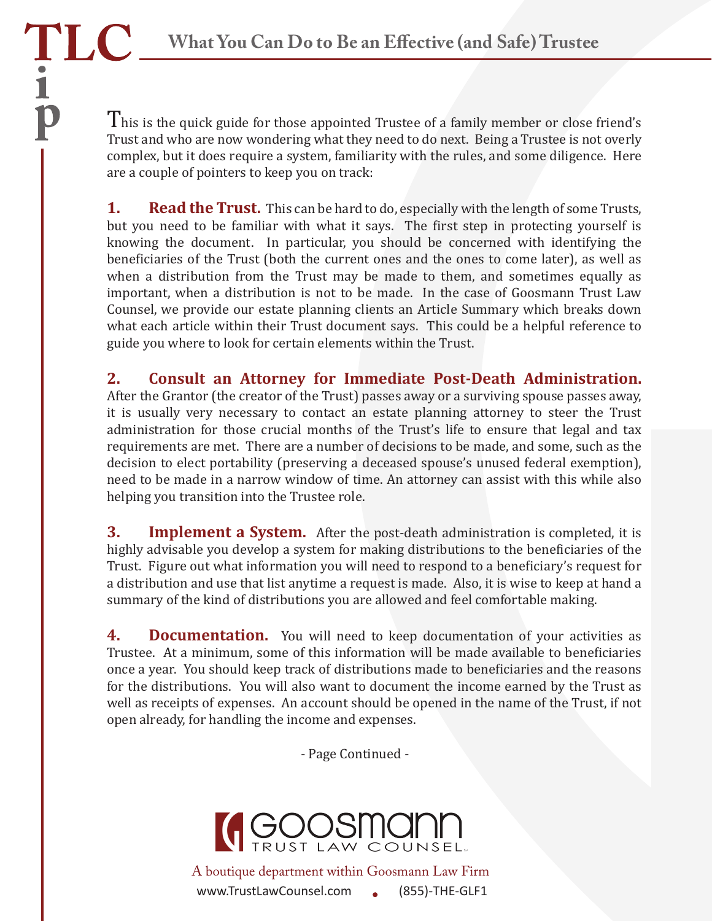TLC

 $\frac{1}{1}$ 

This is the quick guide for those appointed Trustee of a family member or close friend's Trust and who are now wondering what they need to do next. Being a Trustee is not overly complex, but it does require a system, familiarity with the rules, and some diligence. Here are a couple of pointers to keep you on track:

**1.** Read the Trust. This can be hard to do, especially with the length of some Trusts, but you need to be familiar with what it says. The first step in protecting yourself is knowing the document. In particular, you should be concerned with identifying the beneficiaries of the Trust (both the current ones and the ones to come later), as well as when a distribution from the Trust may be made to them, and sometimes equally as important, when a distribution is not to be made. In the case of Goosmann Trust Law Counsel, we provide our estate planning clients an Article Summary which breaks down what each article within their Trust document says. This could be a helpful reference to guide you where to look for certain elements within the Trust.

**2. Consult an Attorney for Immediate Post-Death Administration.**  After the Grantor (the creator of the Trust) passes away or a surviving spouse passes away, it is usually very necessary to contact an estate planning attorney to steer the Trust administration for those crucial months of the Trust's life to ensure that legal and tax requirements are met. There are a number of decisions to be made, and some, such as the decision to elect portability (preserving a deceased spouse's unused federal exemption), need to be made in a narrow window of time. An attorney can assist with this while also helping you transition into the Trustee role.

**3.** Implement a System. After the post-death administration is completed, it is highly advisable you develop a system for making distributions to the beneficiaries of the Trust. Figure out what information you will need to respond to a bene�iciary's request for a distribution and use that list anytime a request is made. Also, it is wise to keep at hand a summary of the kind of distributions you are allowed and feel comfortable making.

**4. Documentation.** You will need to keep documentation of your activities as Trustee. At a minimum, some of this information will be made available to beneficiaries once a year. You should keep track of distributions made to beneficiaries and the reasons for the distributions. You will also want to document the income earned by the Trust as well as receipts of expenses. An account should be opened in the name of the Trust, if not open already, for handling the income and expenses.

- Page Continued -



www.TrustLawCounsel.com (855)-THE-GLF1 A boutique department within Goosmann Law Firm